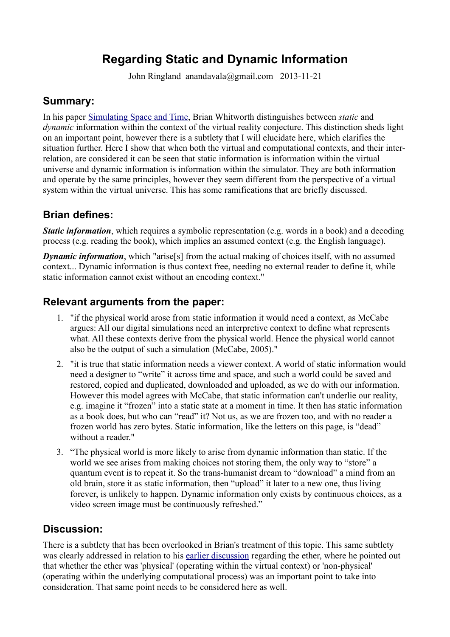# **Regarding Static and Dynamic Information**

John Ringland anandavala@gmail.com 2013-11-21

### **Summary:**

In his paper [Simulating Space and Time,](http://brianwhitworth.com/BW-VRT2.pdf) Brian Whitworth distinguishes between *static* and *dynamic* information within the context of the virtual reality conjecture. This distinction sheds light on an important point, however there is a subtlety that I will elucidate here, which clarifies the situation further. Here I show that when both the virtual and computational contexts, and their interrelation, are considered it can be seen that static information is information within the virtual universe and dynamic information is information within the simulator. They are both information and operate by the same principles, however they seem different from the perspective of a virtual system within the virtual universe. This has some ramifications that are briefly discussed.

#### **Brian defines:**

*Static information*, which requires a symbolic representation (e.g. words in a book) and a decoding process (e.g. reading the book), which implies an assumed context (e.g. the English language).

*Dynamic information*, which "arise<sup>[5]</sup> from the actual making of choices itself, with no assumed context... Dynamic information is thus context free, needing no external reader to define it, while static information cannot exist without an encoding context."

#### **Relevant arguments from the paper:**

- 1. "if the physical world arose from static information it would need a context, as McCabe argues: All our digital simulations need an interpretive context to define what represents what. All these contexts derive from the physical world. Hence the physical world cannot also be the output of such a simulation (McCabe, 2005)."
- 2. "it is true that static information needs a viewer context. A world of static information would need a designer to "write" it across time and space, and such a world could be saved and restored, copied and duplicated, downloaded and uploaded, as we do with our information. However this model agrees with McCabe, that static information can't underlie our reality, e.g. imagine it "frozen" into a static state at a moment in time. It then has static information as a book does, but who can "read" it? Not us, as we are frozen too, and with no reader a frozen world has zero bytes. Static information, like the letters on this page, is "dead" without a reader."
- 3. "The physical world is more likely to arise from dynamic information than static. If the world we see arises from making choices not storing them, the only way to "store" a quantum event is to repeat it. So the trans-humanist dream to "download" a mind from an old brain, store it as static information, then "upload" it later to a new one, thus living forever, is unlikely to happen. Dynamic information only exists by continuous choices, as a video screen image must be continuously refreshed."

#### **Discussion:**

There is a subtlety that has been overlooked in Brian's treatment of this topic. This same subtlety was clearly addressed in relation to his [earlier discussion](http://brianwhitworth.com/BW-VRT1.pdf) regarding the ether, where he pointed out that whether the ether was 'physical' (operating within the virtual context) or 'non-physical' (operating within the underlying computational process) was an important point to take into consideration. That same point needs to be considered here as well.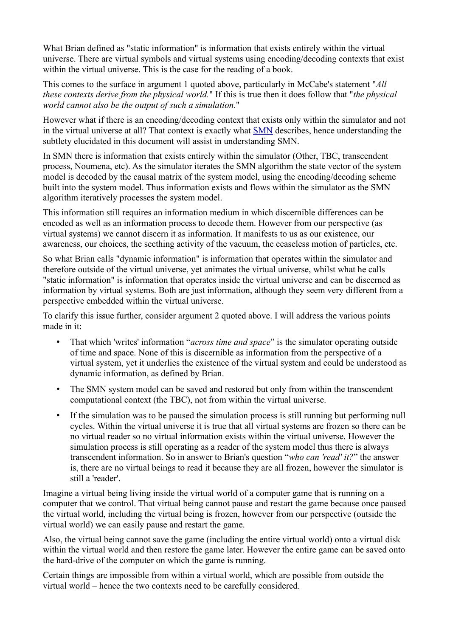What Brian defined as "static information" is information that exists entirely within the virtual universe. There are virtual symbols and virtual systems using encoding/decoding contexts that exist within the virtual universe. This is the case for the reading of a book.

This comes to the surface in argument 1 quoted above, particularly in McCabe's statement "*All these contexts derive from the physical world.*" If this is true then it does follow that "*the physical world cannot also be the output of such a simulation.*"

However what if there is an encoding/decoding context that exists only within the simulator and not in the virtual universe at all? That context is exactly what [SMN](http://anandavala.info/SystemSimulation.pdf) describes, hence understanding the subtlety elucidated in this document will assist in understanding SMN.

In SMN there is information that exists entirely within the simulator (Other, TBC, transcendent process, Noumena, etc). As the simulator iterates the SMN algorithm the state vector of the system model is decoded by the causal matrix of the system model, using the encoding/decoding scheme built into the system model. Thus information exists and flows within the simulator as the SMN algorithm iteratively processes the system model.

This information still requires an information medium in which discernible differences can be encoded as well as an information process to decode them. However from our perspective (as virtual systems) we cannot discern it as information. It manifests to us as our existence, our awareness, our choices, the seething activity of the vacuum, the ceaseless motion of particles, etc.

So what Brian calls "dynamic information" is information that operates within the simulator and therefore outside of the virtual universe, yet animates the virtual universe, whilst what he calls "static information" is information that operates inside the virtual universe and can be discerned as information by virtual systems. Both are just information, although they seem very different from a perspective embedded within the virtual universe.

To clarify this issue further, consider argument 2 quoted above. I will address the various points made in it:

- That which 'writes' information "*across time and space*" is the simulator operating outside of time and space. None of this is discernible as information from the perspective of a virtual system, yet it underlies the existence of the virtual system and could be understood as dynamic information, as defined by Brian.
- The SMN system model can be saved and restored but only from within the transcendent computational context (the TBC), not from within the virtual universe.
- If the simulation was to be paused the simulation process is still running but performing null cycles. Within the virtual universe it is true that all virtual systems are frozen so there can be no virtual reader so no virtual information exists within the virtual universe. However the simulation process is still operating as a reader of the system model thus there is always transcendent information. So in answer to Brian's question "*who can 'read' it?*" the answer is, there are no virtual beings to read it because they are all frozen, however the simulator is still a 'reader'.

Imagine a virtual being living inside the virtual world of a computer game that is running on a computer that we control. That virtual being cannot pause and restart the game because once paused the virtual world, including the virtual being is frozen, however from our perspective (outside the virtual world) we can easily pause and restart the game.

Also, the virtual being cannot save the game (including the entire virtual world) onto a virtual disk within the virtual world and then restore the game later. However the entire game can be saved onto the hard-drive of the computer on which the game is running.

Certain things are impossible from within a virtual world, which are possible from outside the virtual world – hence the two contexts need to be carefully considered.